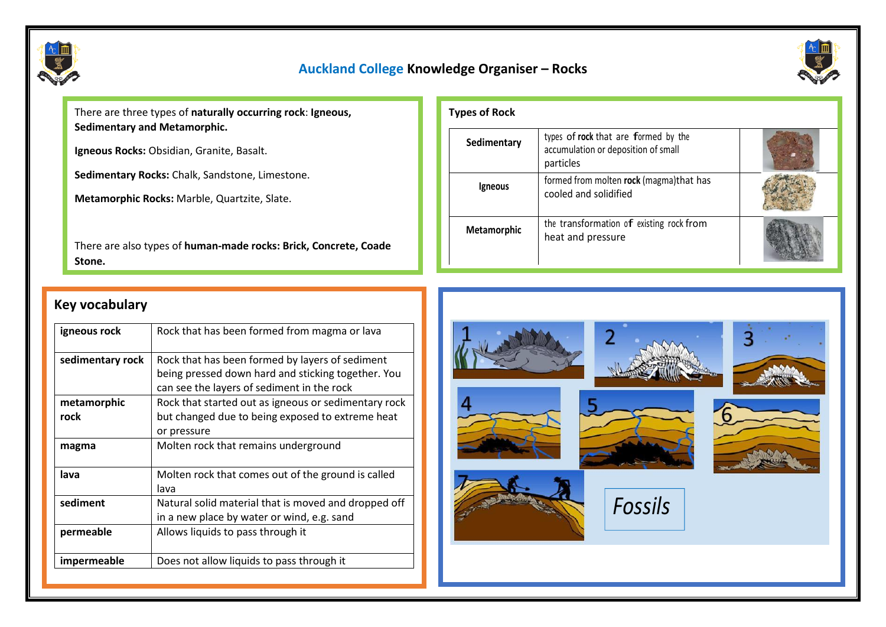

### **Auckland College Knowledge Organiser – Rocks**



There are three types of **naturally occurring rock**: **Igneous, Sedimentary and Metamorphic.**

**Igneous Rocks:** Obsidian, Granite, Basalt.

**Sedimentary Rocks:** Chalk, Sandstone, Limestone.

**Metamorphic Rocks:** Marble, Quartzite, Slate.

There are also types of **human-made rocks: Brick, Concrete, Coade Stone.**

# **Key vocabulary**

| igneous rock     | Rock that has been formed from magma or lava               |  |
|------------------|------------------------------------------------------------|--|
| sedimentary rock | Rock that has been formed by layers of sediment            |  |
|                  | being pressed down hard and sticking together. You         |  |
|                  | can see the layers of sediment in the rock                 |  |
| metamorphic      | Rock that started out as igneous or sedimentary rock       |  |
| rock             | but changed due to being exposed to extreme heat           |  |
|                  | or pressure                                                |  |
| magma            | Molten rock that remains underground                       |  |
| lava             | Molten rock that comes out of the ground is called<br>lava |  |
| sediment         | Natural solid material that is moved and dropped off       |  |
|                  | in a new place by water or wind, e.g. sand                 |  |
| permeable        | Allows liquids to pass through it                          |  |
| impermeable      | Does not allow liquids to pass through it                  |  |
|                  |                                                            |  |

| <b>Types of Rock</b> |                                                                                          |  |
|----------------------|------------------------------------------------------------------------------------------|--|
| Sedimentary          | types of rock that are formed by the<br>accumulation or deposition of small<br>particles |  |
| Igneous              | formed from molten rock (magma)that has<br>cooled and solidified                         |  |
| Metamorphic          | the transformation of existing rock from<br>heat and pressure                            |  |